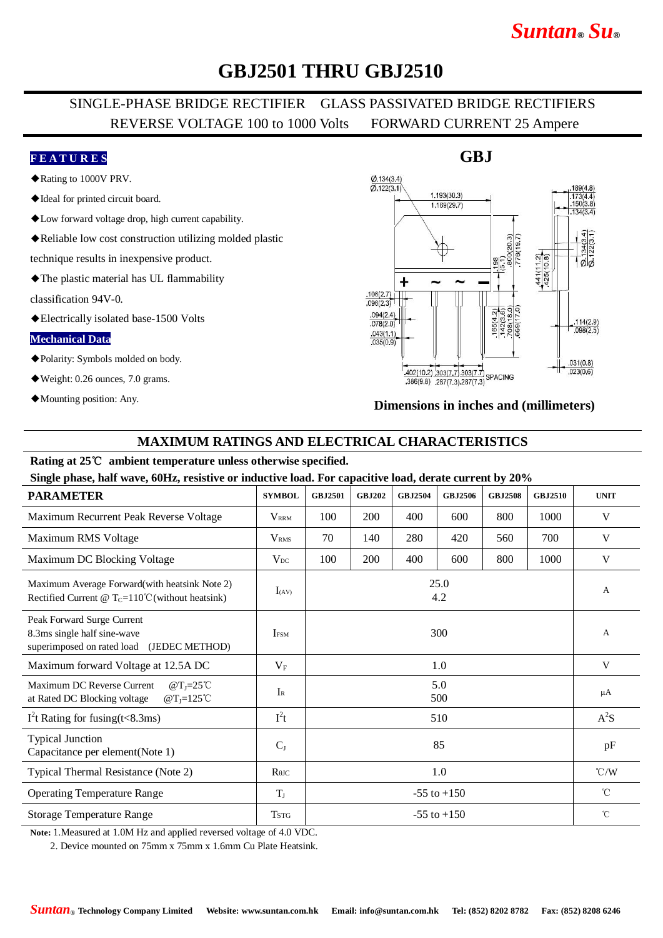## *Suntan***®** *Su***®**

### **GBJ2501 THRU GBJ2510**

### SINGLE-PHASE BRIDGE RECTIFIER GLASS PASSIVATED BRIDGE RECTIFIERS REVERSE VOLTAGE 100 to 1000 Volts FORWARD CURRENT 25 Ampere

#### **F E A T U R E S**

- ◆Rating to 1000V PRV.
- ◆Ideal for printed circuit board.
- ◆Low forward voltage drop, high current capability.
- ◆Reliable low cost construction utilizing molded plastic

technique results in inexpensive product.

◆The plastic material has UL flammability

classification 94V-0.

◆Electrically isolated base-1500 Volts

#### **Mechanical Data**

- ◆Polarity: Symbols molded on body.
- ◆Weight: 0.26 ounces, 7.0 grams.
- ◆Mounting position: Any.

#### $Ø$  134(3.4)  $\overline{0}$  122(3.1)  $1.193(30.3)$ 173(<br>150( 1.169(29.7) 441(112)<br>425(10.8)  $\sigma$ +  $.106(2.7)$  $.096(2.3)$ 65(4.2)  $.094(2.4)$  $\frac{.114(2.9)}{.098(2.5)}$  $.078(2.0)$  $.043(1.1)$  $.035(0.9)$  $031(0.8)$  $\frac{402(10.2)}{386(9.8)}$   $\frac{303(7.7)}{287(7.3)}$  327/7 3  $.023(0.6)$  $386(9.8)$   $287(7.3)$   $287(7.3)$

#### **Dimensions in inches and (millimeters)**

#### **MAXIMUM RATINGS AND ELECTRICAL CHARACTERISTICS**

#### **Rating at 25**℃ **ambient temperature unless otherwise specified.**

**Single phase, half wave, 60Hz, resistive or inductive load. For capacitive load, derate current by 20%**

| <b>PARAMETER</b>                                                                                            | <b>SYMBOL</b>                        | <b>GBJ2501</b>  | <b>GBJ202</b> | <b>GBJ2504</b> | <b>GBJ2506</b> | <b>GBJ2508</b> | <b>GBJ2510</b> | <b>UNIT</b>     |
|-------------------------------------------------------------------------------------------------------------|--------------------------------------|-----------------|---------------|----------------|----------------|----------------|----------------|-----------------|
| Maximum Recurrent Peak Reverse Voltage                                                                      | <b>V</b> <sub>RRM</sub>              | 100             | 200           | 400            | 600            | 800            | 1000           | V               |
| Maximum RMS Voltage                                                                                         | V <sub>RMS</sub>                     | 70              | 140           | 280            | 420            | 560            | 700            | V               |
| Maximum DC Blocking Voltage                                                                                 | $V_{DC}$                             | 100             | 200           | 400            | 600            | 800            | 1000           | V               |
| Maximum Average Forward(with heatsink Note 2)<br>Rectified Current @ $T_c=110^{\circ}$ C (without heatsink) | $I_{(AV)}$                           | 25.0<br>4.2     |               |                |                |                |                | A               |
| Peak Forward Surge Current<br>8.3ms single half sine-wave<br>(JEDEC METHOD)<br>superimposed on rated load   | <b>IFSM</b>                          | 300             |               |                |                |                |                | A               |
| Maximum forward Voltage at 12.5A DC                                                                         | $V_{\rm F}$                          | 1.0             |               |                |                |                |                | V               |
| Maximum DC Reverse Current<br>@ $T_J = 25^{\circ}C$<br>at Rated DC Blocking voltage<br>$@T_J=125^{\circ}C$  | $I_{R}$                              | 5.0<br>500      |               |                |                |                |                | $\mu A$         |
| $I2t$ Rating for fusing(t<8.3ms)                                                                            | $I^2t$                               | 510             |               |                |                |                |                | $A^2S$          |
| <b>Typical Junction</b><br>Capacitance per element(Note 1)                                                  | $C_{J}$                              | 85              |               |                |                |                |                | pF              |
| Typical Thermal Resistance (Note 2)                                                                         | $R$ <sup><math>\theta</math>JC</sup> | 1.0             |               |                |                |                |                | $\mathcal{C}/W$ |
| <b>Operating Temperature Range</b>                                                                          | $T_{J}$                              | $-55$ to $+150$ |               |                |                |                |                | $^{\circ}$ C    |
| <b>Storage Temperature Range</b>                                                                            | <b>TSTG</b>                          | $-55$ to $+150$ |               |                |                |                |                | $^{\circ}$ C    |

**Note:** 1.Measured at 1.0M Hz and applied reversed voltage of 4.0 VDC.

2. Device mounted on 75mm x 75mm x 1.6mm Cu Plate Heatsink.

#### **GBJ**